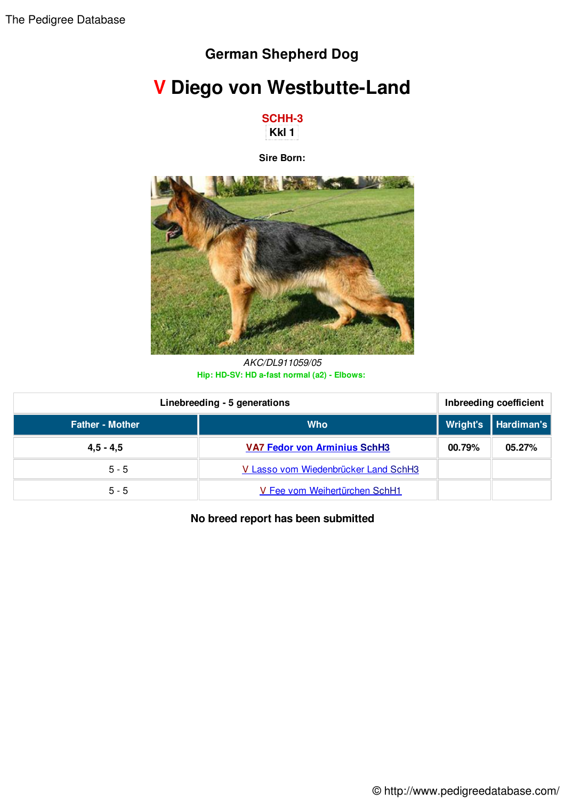## **German Shepherd Dog**

## **V Diego von Westbutte-Land**



**Sire Born:**



*AKC/DL911059/05* **Hip: HD-SV: HD a-fast normal (a2) - Elbows:**

| Linebreeding - 5 generations |                                      | Inbreeding coefficient |                       |
|------------------------------|--------------------------------------|------------------------|-----------------------|
| <b>Father - Mother</b>       | <b>Who</b>                           |                        | Wright's   Hardiman's |
| $4,5 - 4,5$                  | <b>VA7 Fedor von Arminius SchH3</b>  | 00.79%                 | 05.27%                |
| $5 - 5$                      | V Lasso vom Wiedenbrücker Land SchH3 |                        |                       |
| $5 - 5$                      | V Fee vom Weihertürchen SchH1        |                        |                       |

**No breed report has been submitted**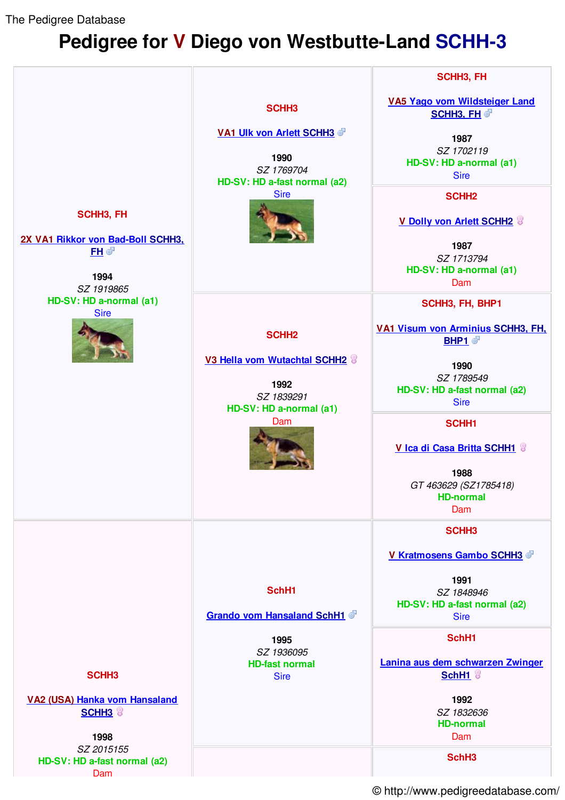The Pedigree Database

## **Pedigree for V Diego von Westbutte-Land SCHH-3**



© http://www.pedigreedatabase.com/